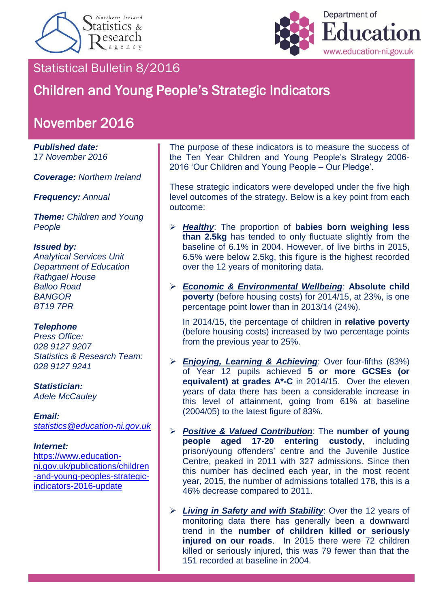



# Statistical Bulletin 8/2016

# Children and Young People's Strategic Indicators

# November 2016

#### *Published date: 17 November 2016*

*Coverage: Northern Ireland*

*Frequency: Annual*

*Theme: Children and Young People*

#### *Issued by:*

*Analytical Services Unit Department of Education Rathgael House Balloo Road BANGOR BT19 7PR*

#### *Telephone*

*Press Office: 028 9127 9207 Statistics & Research Team: 028 9127 9241*

*Statistician: Adele McCauley*

## *Email:*

*[statistics@education-ni.gov.uk](mailto:statistics@education-ni.gov.uk)*

#### *Internet:*

[https://www.education](https://www.education-ni.gov.uk/publications/children-and-young-peoples-strategic-indicators-2016-update)[ni.gov.uk/publications/children](https://www.education-ni.gov.uk/publications/children-and-young-peoples-strategic-indicators-2016-update) [-and-young-peoples-strategic](https://www.education-ni.gov.uk/publications/children-and-young-peoples-strategic-indicators-2016-update)[indicators-2016-update](https://www.education-ni.gov.uk/publications/children-and-young-peoples-strategic-indicators-2016-update)

The purpose of these indicators is to measure the success of the Ten Year Children and Young People's Strategy 2006- 2016 'Our Children and Young People – Our Pledge'.

These strategic indicators were developed under the five high level outcomes of the strategy. Below is a key point from each outcome:

- *Healthy*: The proportion of **babies born weighing less than 2.5kg** has tended to only fluctuate slightly from the baseline of 6.1% in 2004. However, of live births in 2015, 6.5% were below 2.5kg, this figure is the highest recorded over the 12 years of monitoring data.
- *Economic & Environmental Wellbeing*: **Absolute child poverty** (before housing costs) for 2014/15, at 23%, is one percentage point lower than in 2013/14 (24%).

In 2014/15, the percentage of children in **relative poverty** (before housing costs) increased by two percentage points from the previous year to 25%.

- *Enjoying, Learning & Achieving*: Over four-fifths (83%) of Year 12 pupils achieved **5 or more GCSEs (or equivalent) at grades A\*-C** in 2014/15. Over the eleven years of data there has been a considerable increase in this level of attainment, going from 61% at baseline (2004/05) to the latest figure of 83%.
- *Positive & Valued Contribution*: The **number of young people aged 17-20 entering custody**, including prison/young offenders' centre and the Juvenile Justice Centre, peaked in 2011 with 327 admissions. Since then this number has declined each year, in the most recent year, 2015, the number of admissions totalled 178, this is a 46% decrease compared to 2011.
- *Living in Safety and with Stability*: Over the 12 years of monitoring data there has generally been a downward trend in the **number of children killed or seriously injured on our roads**. In 2015 there were 72 children killed or seriously injured, this was 79 fewer than that the 151 recorded at baseline in 2004.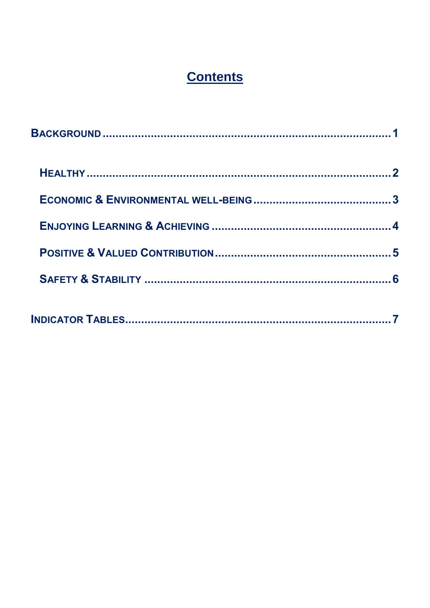# **Contents**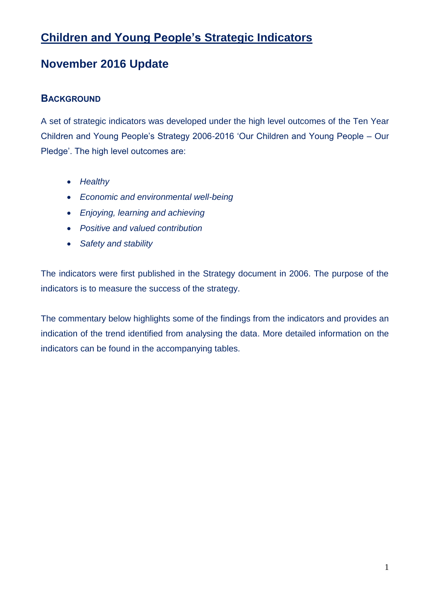# **Children and Young People's Strategic Indicators**

# **November 2016 Update**

# <span id="page-2-0"></span>**BACKGROUND**

A set of strategic indicators was developed under the high level outcomes of the Ten Year Children and Young People's Strategy 2006-2016 'Our Children and Young People – Our Pledge'. The high level outcomes are:

- *Healthy*
- *Economic and environmental well-being*
- *Enjoying, learning and achieving*
- *Positive and valued contribution*
- *Safety and stability*

The indicators were first published in the Strategy document in 2006. The purpose of the indicators is to measure the success of the strategy.

The commentary below highlights some of the findings from the indicators and provides an indication of the trend identified from analysing the data. More detailed information on the indicators can be found in the accompanying tables.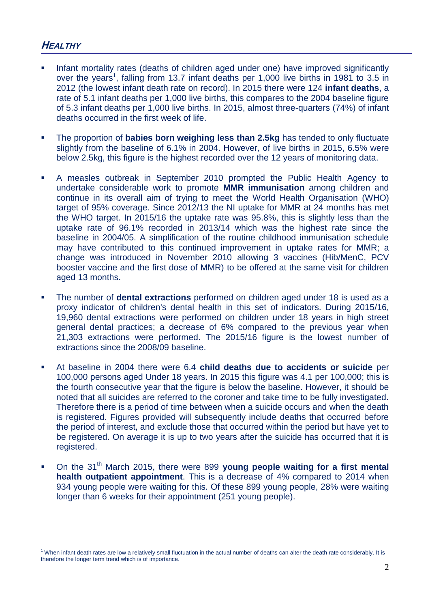## <span id="page-3-0"></span>**HEALTHY**

<u>.</u>

- Infant mortality rates (deaths of children aged under one) have improved significantly over the years<sup>1</sup>, falling from 13.7 infant deaths per 1,000 live births in 1981 to 3.5 in 2012 (the lowest infant death rate on record). In 2015 there were 124 **infant deaths**, a rate of 5.1 infant deaths per 1,000 live births, this compares to the 2004 baseline figure of 5.3 infant deaths per 1,000 live births. In 2015, almost three-quarters (74%) of infant deaths occurred in the first week of life.
- The proportion of **babies born weighing less than 2.5kg** has tended to only fluctuate slightly from the baseline of 6.1% in 2004. However, of live births in 2015, 6.5% were below 2.5kg, this figure is the highest recorded over the 12 years of monitoring data.
- A measles outbreak in September 2010 prompted the Public Health Agency to undertake considerable work to promote **MMR immunisation** among children and continue in its overall aim of trying to meet the World Health Organisation (WHO) target of 95% coverage. Since 2012/13 the NI uptake for MMR at 24 months has met the WHO target. In 2015/16 the uptake rate was 95.8%, this is slightly less than the uptake rate of 96.1% recorded in 2013/14 which was the highest rate since the baseline in 2004/05. A simplification of the routine childhood immunisation schedule may have contributed to this continued improvement in uptake rates for MMR; a change was introduced in November 2010 allowing 3 vaccines (Hib/MenC, PCV booster vaccine and the first dose of MMR) to be offered at the same visit for children aged 13 months.
- The number of **dental extractions** performed on children aged under 18 is used as a proxy indicator of children's dental health in this set of indicators. During 2015/16, 19,960 dental extractions were performed on children under 18 years in high street general dental practices; a decrease of 6% compared to the previous year when 21,303 extractions were performed. The 2015/16 figure is the lowest number of extractions since the 2008/09 baseline.
- At baseline in 2004 there were 6.4 **child deaths due to accidents or suicide** per 100,000 persons aged Under 18 years. In 2015 this figure was 4.1 per 100,000; this is the fourth consecutive year that the figure is below the baseline. However, it should be noted that all suicides are referred to the coroner and take time to be fully investigated. Therefore there is a period of time between when a suicide occurs and when the death is registered. Figures provided will subsequently include deaths that occurred before the period of interest, and exclude those that occurred within the period but have yet to be registered. On average it is up to two years after the suicide has occurred that it is registered.
- On the 31<sup>th</sup> March 2015, there were 899 young people waiting for a first mental **health outpatient appointment**. This is a decrease of 4% compared to 2014 when 934 young people were waiting for this. Of these 899 young people, 28% were waiting longer than 6 weeks for their appointment (251 young people).

<sup>&</sup>lt;sup>1</sup> When infant death rates are low a relatively small fluctuation in the actual number of deaths can alter the death rate considerably. It is therefore the longer term trend which is of importance.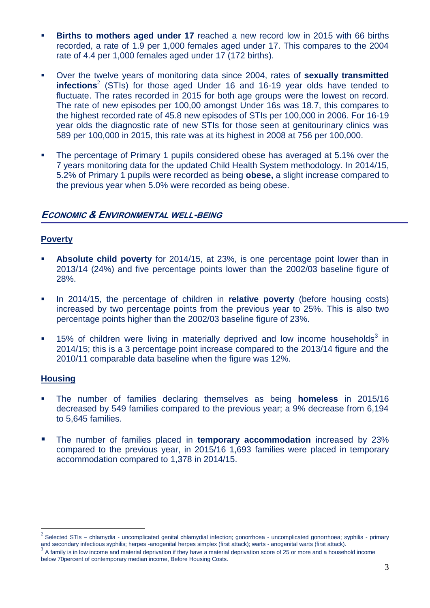- **Births to mothers aged under 17** reached a new record low in 2015 with 66 births recorded, a rate of 1.9 per 1,000 females aged under 17. This compares to the 2004 rate of 4.4 per 1,000 females aged under 17 (172 births).
- Over the twelve years of monitoring data since 2004, rates of **sexually transmitted infections** 2 (STIs) for those aged Under 16 and 16-19 year olds have tended to fluctuate. The rates recorded in 2015 for both age groups were the lowest on record. The rate of new episodes per 100,00 amongst Under 16s was 18.7, this compares to the highest recorded rate of 45.8 new episodes of STIs per 100,000 in 2006. For 16-19 year olds the diagnostic rate of new STIs for those seen at genitourinary clinics was 589 per 100,000 in 2015, this rate was at its highest in 2008 at 756 per 100,000.
- The percentage of Primary 1 pupils considered obese has averaged at 5.1% over the 7 years monitoring data for the updated Child Health System methodology. In 2014/15, 5.2% of Primary 1 pupils were recorded as being **obese,** a slight increase compared to the previous year when 5.0% were recorded as being obese.

#### <span id="page-4-0"></span>**ECONOMIC & ENVIRONMENTAL WELL-BEING**

#### **Poverty**

- **Absolute child poverty** for 2014/15, at 23%, is one percentage point lower than in 2013/14 (24%) and five percentage points lower than the 2002/03 baseline figure of 28%.
- In 2014/15, the percentage of children in **relative poverty** (before housing costs) increased by two percentage points from the previous year to 25%. This is also two percentage points higher than the 2002/03 baseline figure of 23%.
- $\blacksquare$  15% of children were living in materially deprived and low income households<sup>3</sup> in 2014/15; this is a 3 percentage point increase compared to the 2013/14 figure and the 2010/11 comparable data baseline when the figure was 12%.

#### **Housing**

1

- The number of families declaring themselves as being **homeless** in 2015/16 decreased by 549 families compared to the previous year; a 9% decrease from 6,194 to 5,645 families.
- **The number of families placed in temporary accommodation** increased by 23% compared to the previous year, in 2015/16 1,693 families were placed in temporary accommodation compared to 1,378 in 2014/15.

<sup>2</sup> Selected STIs – chlamydia - uncomplicated genital chlamydial infection; gonorrhoea - uncomplicated gonorrhoea; syphilis - primary and secondary infectious syphilis; herpes -anogenital herpes simplex (first attack); warts - anogenital warts (first attack). 3

A family is in low income and material deprivation if they have a material deprivation score of 25 or more and a household income below 70percent of contemporary median income, Before Housing Costs.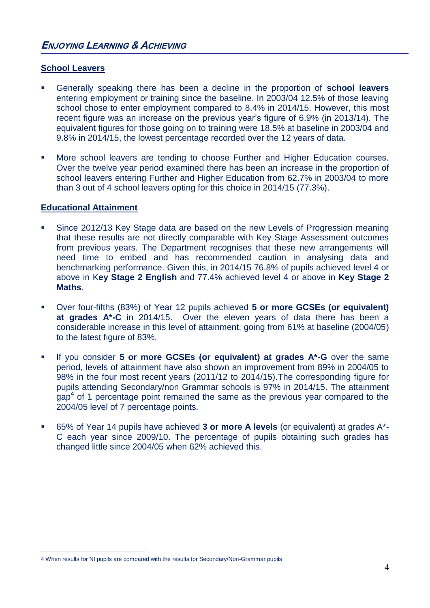#### <span id="page-5-0"></span>**School Leavers**

- Generally speaking there has been a decline in the proportion of **school leavers** entering employment or training since the baseline. In 2003/04 12.5% of those leaving school chose to enter employment compared to 8.4% in 2014/15. However, this most recent figure was an increase on the previous year's figure of 6.9% (in 2013/14). The equivalent figures for those going on to training were 18.5% at baseline in 2003/04 and 9.8% in 2014/15, the lowest percentage recorded over the 12 years of data.
- **More school leavers are tending to choose Further and Higher Education courses.** Over the twelve year period examined there has been an increase in the proportion of school leavers entering Further and Higher Education from 62.7% in 2003/04 to more than 3 out of 4 school leavers opting for this choice in 2014/15 (77.3%).

#### **Educational Attainment**

1

- **Since 2012/13 Key Stage data are based on the new Levels of Progression meaning** that these results are not directly comparable with Key Stage Assessment outcomes from previous years. The Department recognises that these new arrangements will need time to embed and has recommended caution in analysing data and benchmarking performance. Given this, in 2014/15 76.8% of pupils achieved level 4 or above in K**ey Stage 2 English** and 77.4% achieved level 4 or above in **Key Stage 2 Maths**.
- Over four-fifths (83%) of Year 12 pupils achieved **5 or more GCSEs (or equivalent) at grades A\*-C** in 2014/15. Over the eleven years of data there has been a considerable increase in this level of attainment, going from 61% at baseline (2004/05) to the latest figure of 83%.
- If you consider **5 or more GCSEs (or equivalent) at grades A\*-G** over the same period, levels of attainment have also shown an improvement from 89% in 2004/05 to 98% in the four most recent years (2011/12 to 2014/15).The corresponding figure for pupils attending Secondary/non Grammar schools is 97% in 2014/15. The attainment  $gap<sup>4</sup>$  of 1 percentage point remained the same as the previous year compared to the 2004/05 level of 7 percentage points.
- 65% of Year 14 pupils have achieved **3 or more A levels** (or equivalent) at grades A\*- C each year since 2009/10. The percentage of pupils obtaining such grades has changed little since 2004/05 when 62% achieved this.

<sup>4</sup> When results for NI pupils are compared with the results for Secondary/Non-Grammar pupils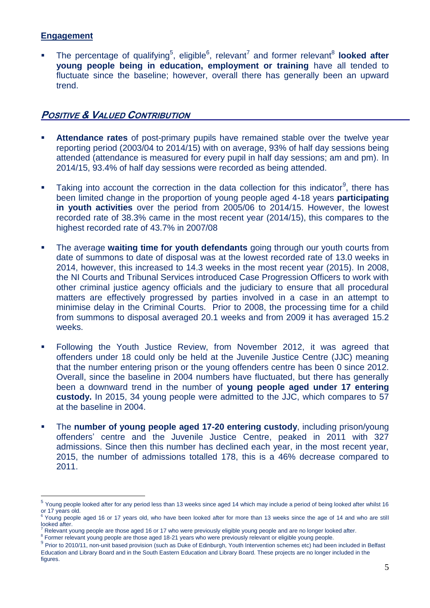#### **Engagement**

1

**The percentage of qualifying**<sup>5</sup>, eligible<sup>6</sup>, relevant<sup>7</sup> and former relevant<sup>8</sup> looked after **young people being in education, employment or training** have all tended to fluctuate since the baseline; however, overall there has generally been an upward trend.

## <span id="page-6-0"></span>**POSITIVE & VALUED CONTRIBUTION**

- **Attendance rates** of post-primary pupils have remained stable over the twelve year reporting period (2003/04 to 2014/15) with on average, 93% of half day sessions being attended (attendance is measured for every pupil in half day sessions; am and pm). In 2014/15, 93.4% of half day sessions were recorded as being attended.
- **Taking into account the correction in the data collection for this indicator**<sup>9</sup>, there has been limited change in the proportion of young people aged 4-18 years **participating in youth activities** over the period from 2005/06 to 2014/15. However, the lowest recorded rate of 38.3% came in the most recent year (2014/15), this compares to the highest recorded rate of 43.7% in 2007/08
- **The average waiting time for youth defendants** going through our youth courts from date of summons to date of disposal was at the lowest recorded rate of 13.0 weeks in 2014, however, this increased to 14.3 weeks in the most recent year (2015). In 2008, the NI Courts and Tribunal Services introduced Case Progression Officers to work with other criminal justice agency officials and the judiciary to ensure that all procedural matters are effectively progressed by parties involved in a case in an attempt to minimise delay in the Criminal Courts. Prior to 2008, the processing time for a child from summons to disposal averaged 20.1 weeks and from 2009 it has averaged 15.2 weeks.
- Following the Youth Justice Review, from November 2012, it was agreed that offenders under 18 could only be held at the Juvenile Justice Centre (JJC) meaning that the number entering prison or the young offenders centre has been 0 since 2012. Overall, since the baseline in 2004 numbers have fluctuated, but there has generally been a downward trend in the number of **young people aged under 17 entering custody.** In 2015, 34 young people were admitted to the JJC, which compares to 57 at the baseline in 2004.
- The **number of young people aged 17-20 entering custody**, including prison/young offenders' centre and the Juvenile Justice Centre, peaked in 2011 with 327 admissions. Since then this number has declined each year, in the most recent year, 2015, the number of admissions totalled 178, this is a 46% decrease compared to 2011.

- <sup>8</sup> Former relevant young people are those aged 18-21 years who were previously relevant or eligible young people.
- <sup>9</sup> Prior to 2010/11, non-unit based provision (such as Duke of Edinburgh, Youth Intervention schemes etc) had been included in Belfast Education and Library Board and in the South Eastern Education and Library Board. These projects are no longer included in the figures.

<sup>&</sup>lt;sup>5</sup> Young people looked after for any period less than 13 weeks since aged 14 which may include a period of being looked after whilst 16 or 17 years old.

Young people aged 16 or 17 years old, who have been looked after for more than 13 weeks since the age of 14 and who are still looked after.

Relevant young people are those aged 16 or 17 who were previously eligible young people and are no longer looked after.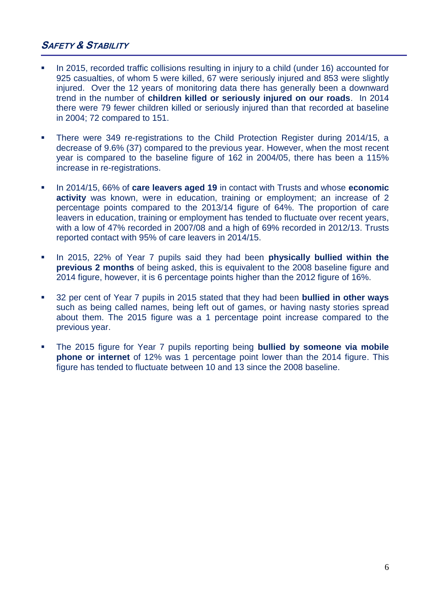## <span id="page-7-0"></span>**SAFETY & STABILITY**

- In 2015, recorded traffic collisions resulting in injury to a child (under 16) accounted for 925 casualties, of whom 5 were killed, 67 were seriously injured and 853 were slightly injured. Over the 12 years of monitoring data there has generally been a downward trend in the number of **children killed or seriously injured on our roads**. In 2014 there were 79 fewer children killed or seriously injured than that recorded at baseline in 2004; 72 compared to 151.
- There were 349 re-registrations to the Child Protection Register during 2014/15, a decrease of 9.6% (37) compared to the previous year. However, when the most recent year is compared to the baseline figure of 162 in 2004/05, there has been a 115% increase in re-registrations.
- In 2014/15, 66% of **care leavers aged 19** in contact with Trusts and whose **economic activity** was known, were in education, training or employment; an increase of 2 percentage points compared to the 2013/14 figure of 64%. The proportion of care leavers in education, training or employment has tended to fluctuate over recent years, with a low of 47% recorded in 2007/08 and a high of 69% recorded in 2012/13. Trusts reported contact with 95% of care leavers in 2014/15.
- In 2015, 22% of Year 7 pupils said they had been **physically bullied within the previous 2 months** of being asked, this is equivalent to the 2008 baseline figure and 2014 figure, however, it is 6 percentage points higher than the 2012 figure of 16%.
- 32 per cent of Year 7 pupils in 2015 stated that they had been **bullied in other ways** such as being called names, being left out of games, or having nasty stories spread about them. The 2015 figure was a 1 percentage point increase compared to the previous year.
- The 2015 figure for Year 7 pupils reporting being **bullied by someone via mobile phone or internet** of 12% was 1 percentage point lower than the 2014 figure. This figure has tended to fluctuate between 10 and 13 since the 2008 baseline.